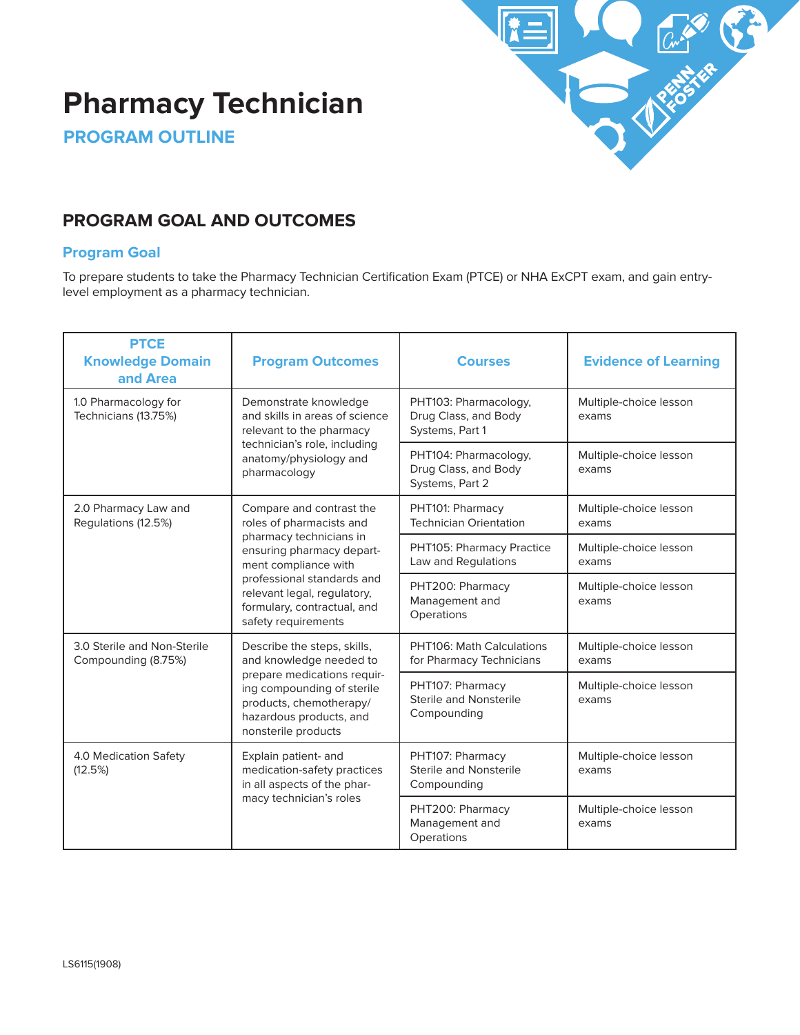

# **Pharmacy Technician**

**PROGRAM OUTLINE**

# **PROGRAM GOAL AND OUTCOMES**

# **Program Goal**

To prepare students to take the Pharmacy Technician Certification Exam (PTCE) or NHA ExCPT exam, and gain entrylevel employment as a pharmacy technician.

| <b>PTCE</b><br><b>Knowledge Domain</b><br>and Area                                                                                                                                                                                                                                                     | <b>Program Outcomes</b>                                                                                                                                       | <b>Courses</b>                                                                               | <b>Evidence of Learning</b>     |
|--------------------------------------------------------------------------------------------------------------------------------------------------------------------------------------------------------------------------------------------------------------------------------------------------------|---------------------------------------------------------------------------------------------------------------------------------------------------------------|----------------------------------------------------------------------------------------------|---------------------------------|
| 1.0 Pharmacology for<br>Technicians (13.75%)                                                                                                                                                                                                                                                           | Demonstrate knowledge<br>and skills in areas of science<br>relevant to the pharmacy<br>technician's role, including<br>anatomy/physiology and<br>pharmacology | PHT103: Pharmacology,<br>Drug Class, and Body<br>Systems, Part 1                             | Multiple-choice lesson<br>exams |
|                                                                                                                                                                                                                                                                                                        |                                                                                                                                                               | PHT104: Pharmacology,<br>Drug Class, and Body<br>Systems, Part 2                             | Multiple-choice lesson<br>exams |
| 2.0 Pharmacy Law and<br>Compare and contrast the<br>Regulations (12.5%)<br>roles of pharmacists and<br>pharmacy technicians in<br>ensuring pharmacy depart-<br>ment compliance with<br>professional standards and<br>relevant legal, regulatory,<br>formulary, contractual, and<br>safety requirements | PHT101: Pharmacy<br><b>Technician Orientation</b>                                                                                                             | Multiple-choice lesson<br>exams                                                              |                                 |
|                                                                                                                                                                                                                                                                                                        |                                                                                                                                                               | PHT105: Pharmacy Practice<br>Law and Regulations                                             | Multiple-choice lesson<br>exams |
|                                                                                                                                                                                                                                                                                                        |                                                                                                                                                               | PHT200: Pharmacy<br>Management and<br>Operations                                             | Multiple-choice lesson<br>exams |
| 3.0 Sterile and Non-Sterile<br>Describe the steps, skills,<br>Compounding (8.75%)<br>and knowledge needed to                                                                                                                                                                                           | PHT106: Math Calculations<br>for Pharmacy Technicians                                                                                                         | Multiple-choice lesson<br>exams                                                              |                                 |
|                                                                                                                                                                                                                                                                                                        | prepare medications requir-<br>ing compounding of sterile<br>products, chemotherapy/<br>hazardous products, and<br>nonsterile products                        | PHT107: Pharmacy<br><b>Sterile and Nonsterile</b><br>Compounding                             | Multiple-choice lesson<br>exams |
| 4.0 Medication Safety<br>(12.5%)                                                                                                                                                                                                                                                                       | Explain patient- and<br>medication-safety practices<br>in all aspects of the phar-                                                                            | PHT107: Pharmacy<br>Multiple-choice lesson<br>Sterile and Nonsterile<br>exams<br>Compounding |                                 |
| macy technician's roles                                                                                                                                                                                                                                                                                |                                                                                                                                                               | PHT200: Pharmacy<br>Management and<br>Operations                                             | Multiple-choice lesson<br>exams |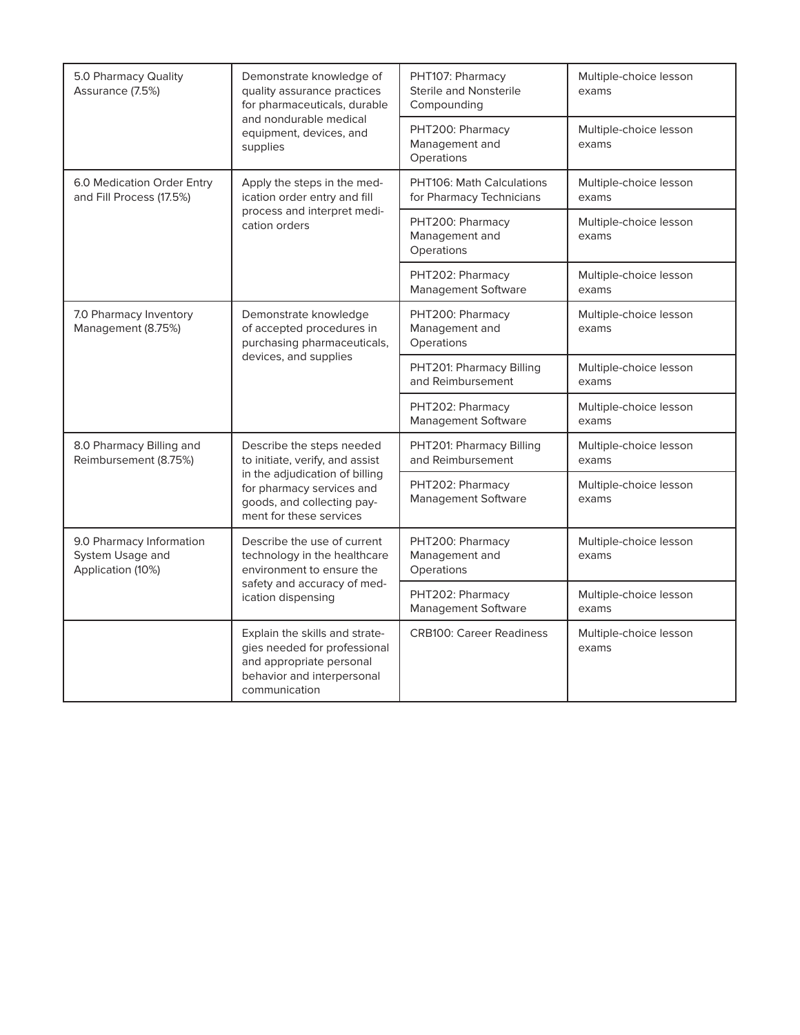| 5.0 Pharmacy Quality<br>Assurance (7.5%)<br>supplies              | Demonstrate knowledge of<br>quality assurance practices<br>for pharmaceuticals, durable                                                   | PHT107: Pharmacy<br>Sterile and Nonsterile<br>Compounding                           | Multiple-choice lesson<br>exams                                    |
|-------------------------------------------------------------------|-------------------------------------------------------------------------------------------------------------------------------------------|-------------------------------------------------------------------------------------|--------------------------------------------------------------------|
|                                                                   | and nondurable medical<br>equipment, devices, and                                                                                         | PHT200: Pharmacy<br>Management and<br>Operations                                    | Multiple-choice lesson<br>exams                                    |
| 6.0 Medication Order Entry<br>and Fill Process (17.5%)            | Apply the steps in the med-<br>ication order entry and fill<br>process and interpret medi-<br>cation orders                               | PHT106: Math Calculations<br>for Pharmacy Technicians                               | Multiple-choice lesson<br>exams                                    |
|                                                                   |                                                                                                                                           | PHT200: Pharmacy<br>Management and<br>Operations                                    | Multiple-choice lesson<br>exams                                    |
|                                                                   |                                                                                                                                           | PHT202: Pharmacy<br>Management Software                                             | Multiple-choice lesson<br>exams                                    |
| 7.0 Pharmacy Inventory<br>Management (8.75%)                      | Demonstrate knowledge<br>of accepted procedures in<br>purchasing pharmaceuticals,                                                         | PHT200: Pharmacy<br>Multiple-choice lesson<br>Management and<br>exams<br>Operations |                                                                    |
|                                                                   | devices, and supplies                                                                                                                     | PHT201: Pharmacy Billing<br>and Reimbursement                                       | Multiple-choice lesson<br>exams                                    |
|                                                                   |                                                                                                                                           | PHT202: Pharmacy<br>Management Software                                             | Multiple-choice lesson<br>exams                                    |
| 8.0 Pharmacy Billing and<br>Reimbursement (8.75%)                 | Describe the steps needed<br>to initiate, verify, and assist                                                                              | PHT201: Pharmacy Billing<br>Multiple-choice lesson<br>and Reimbursement<br>exams    |                                                                    |
|                                                                   | in the adjudication of billing<br>for pharmacy services and<br>goods, and collecting pay-<br>ment for these services                      | PHT202: Pharmacy<br>Management Software                                             | Multiple-choice lesson<br>exams                                    |
| 9.0 Pharmacy Information<br>System Usage and<br>Application (10%) | Describe the use of current<br>technology in the healthcare<br>environment to ensure the                                                  | PHT200: Pharmacy<br>Management and<br>Operations                                    | Multiple-choice lesson<br>exams                                    |
|                                                                   | safety and accuracy of med-<br>ication dispensing                                                                                         | PHT202: Pharmacy<br>Management Software                                             | Multiple-choice lesson<br>exams<br>Multiple-choice lesson<br>exams |
|                                                                   | Explain the skills and strate-<br>gies needed for professional<br>and appropriate personal<br>behavior and interpersonal<br>communication | <b>CRB100: Career Readiness</b>                                                     |                                                                    |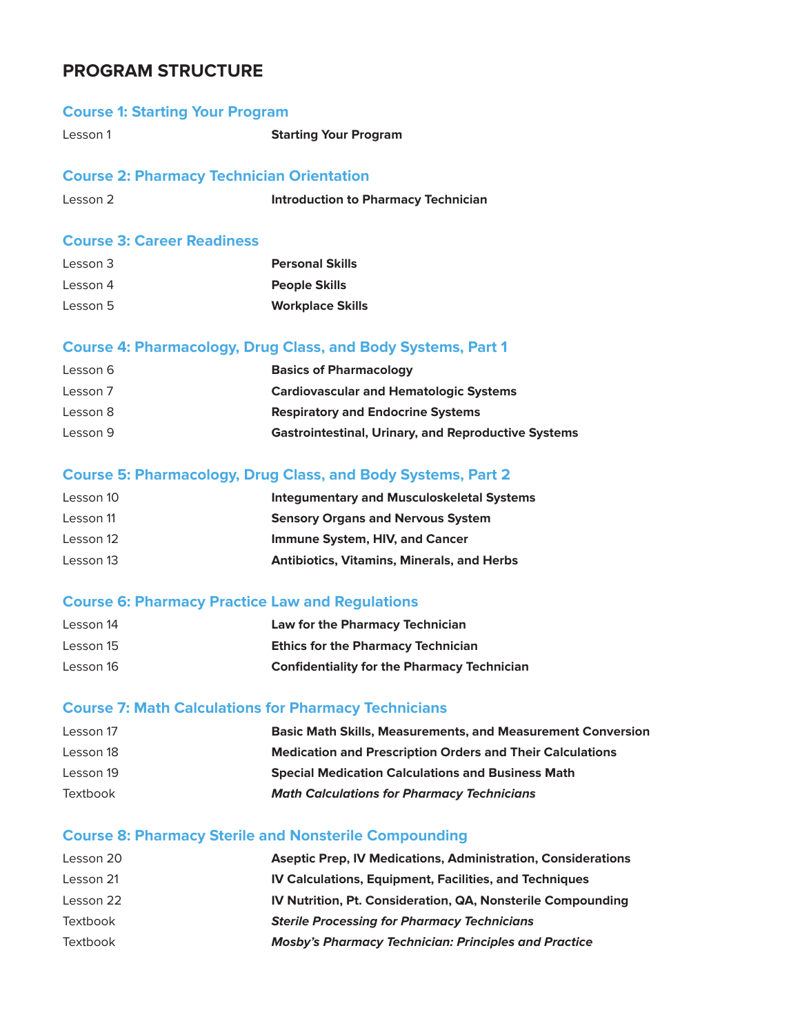# **PROGRAM STRUCTURE**

### **Course 1: Starting Your Program**

Lesson 1 **Starting Your Program** 

### **Course 2: Pharmacy Technician Orientation**

```
Lesson 2 Introduction to Pharmacy Technician
```
# **Course 3: Career Readiness**

| Lesson 3 | <b>Personal Skills</b>  |
|----------|-------------------------|
| Lesson 4 | <b>People Skills</b>    |
| Lesson 5 | <b>Workplace Skills</b> |

### **Course 4: Pharmacology, Drug Class, and Body Systems, Part 1**

| Lesson 6 | <b>Basics of Pharmacology</b>                              |
|----------|------------------------------------------------------------|
| Lesson 7 | <b>Cardiovascular and Hematologic Systems</b>              |
| Lesson 8 | <b>Respiratory and Endocrine Systems</b>                   |
| Lesson 9 | <b>Gastrointestinal, Urinary, and Reproductive Systems</b> |

# **Course 5: Pharmacology, Drug Class, and Body Systems, Part 2**

| Lesson 10 | <b>Integumentary and Musculoskeletal Systems</b>  |
|-----------|---------------------------------------------------|
| Lesson 11 | <b>Sensory Organs and Nervous System</b>          |
| Lesson 12 | Immune System, HIV, and Cancer                    |
| Lesson 13 | <b>Antibiotics, Vitamins, Minerals, and Herbs</b> |

### **Course 6: Pharmacy Practice Law and Regulations**

| Lesson 14 | Law for the Pharmacy Technician                    |
|-----------|----------------------------------------------------|
| Lesson 15 | <b>Ethics for the Pharmacy Technician</b>          |
| Lesson 16 | <b>Confidentiality for the Pharmacy Technician</b> |

### **Course 7: Math Calculations for Pharmacy Technicians**

| Lesson 17 | <b>Basic Math Skills, Measurements, and Measurement Conversion</b> |
|-----------|--------------------------------------------------------------------|
| Lesson 18 | <b>Medication and Prescription Orders and Their Calculations</b>   |
| Lesson 19 | <b>Special Medication Calculations and Business Math</b>           |
| Textbook  | <b>Math Calculations for Pharmacy Technicians</b>                  |

# **Course 8: Pharmacy Sterile and Nonsterile Compounding**

| Lesson 20 | <b>Aseptic Prep, IV Medications, Administration, Considerations</b> |
|-----------|---------------------------------------------------------------------|
| Lesson 21 | <b>IV Calculations, Equipment, Facilities, and Techniques</b>       |
| Lesson 22 | IV Nutrition, Pt. Consideration, QA, Nonsterile Compounding         |
| Textbook  | <b>Sterile Processing for Pharmacy Technicians</b>                  |
| Textbook  | <b>Mosby's Pharmacy Technician: Principles and Practice</b>         |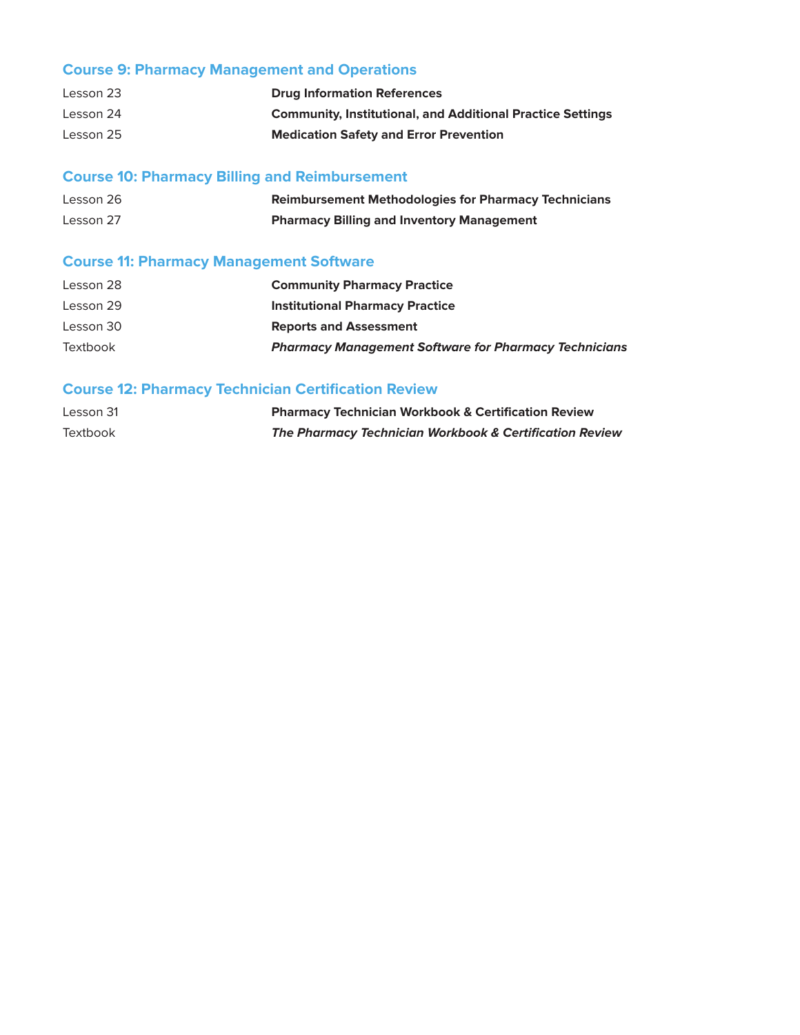# **Course 9: Pharmacy Management and Operations**

| Lesson 23 | <b>Drug Information References</b>                                |
|-----------|-------------------------------------------------------------------|
| Lesson 24 | <b>Community, Institutional, and Additional Practice Settings</b> |
| Lesson 25 | <b>Medication Safety and Error Prevention</b>                     |

# **Course 10: Pharmacy Billing and Reimbursement**

| Lesson 26 | <b>Reimbursement Methodologies for Pharmacy Technicians</b> |
|-----------|-------------------------------------------------------------|
| Lesson 27 | <b>Pharmacy Billing and Inventory Management</b>            |

# **Course 11: Pharmacy Management Software**

| Lesson 28 | <b>Community Pharmacy Practice</b>                           |
|-----------|--------------------------------------------------------------|
| Lesson 29 | <b>Institutional Pharmacy Practice</b>                       |
| Lesson 30 | <b>Reports and Assessment</b>                                |
| Textbook  | <b>Pharmacy Management Software for Pharmacy Technicians</b> |

# **Course 12: Pharmacy Technician Certification Review**

| Lesson 31 | <b>Pharmacy Technician Workbook &amp; Certification Review</b> |
|-----------|----------------------------------------------------------------|
| Textbook  | The Pharmacy Technician Workbook & Certification Review        |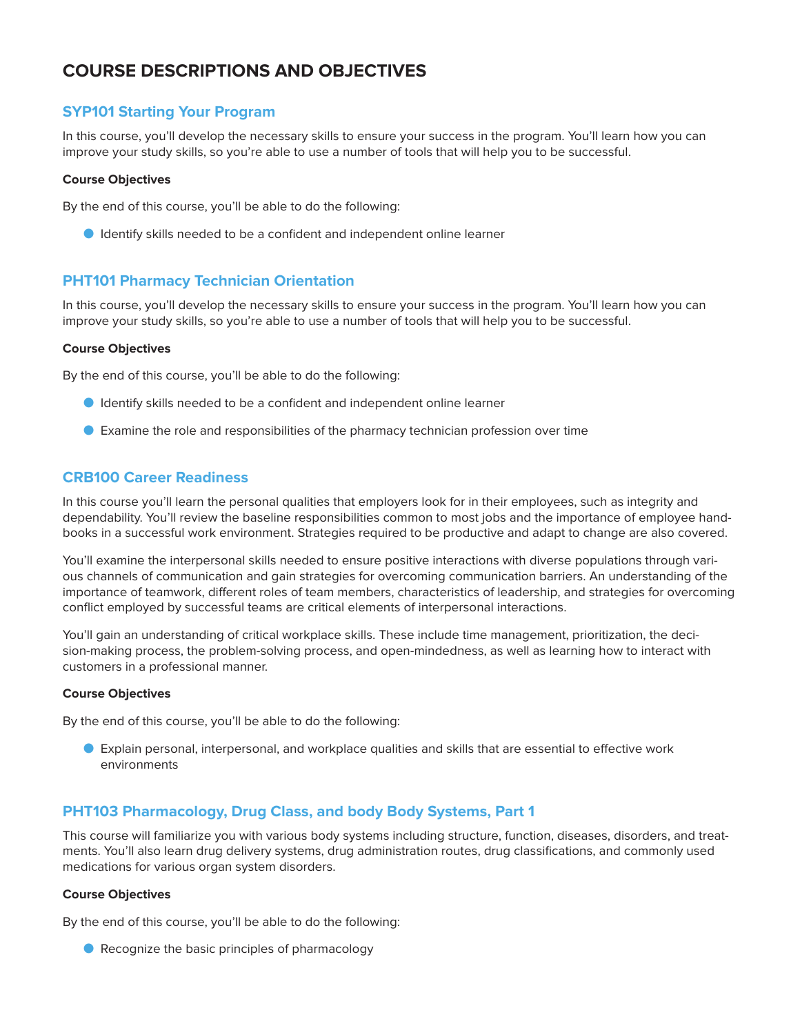# **COURSE DESCRIPTIONS AND OBJECTIVES**

# **SYP101 Starting Your Program**

In this course, you'll develop the necessary skills to ensure your success in the program. You'll learn how you can improve your study skills, so you're able to use a number of tools that will help you to be successful.

#### **Course Objectives**

By the end of this course, you'll be able to do the following:

O Identify skills needed to be a confident and independent online learner

# **PHT101 Pharmacy Technician Orientation**

In this course, you'll develop the necessary skills to ensure your success in the program. You'll learn how you can improve your study skills, so you're able to use a number of tools that will help you to be successful.

#### **Course Objectives**

By the end of this course, you'll be able to do the following:

- O Identify skills needed to be a confident and independent online learner
- O Examine the role and responsibilities of the pharmacy technician profession over time

# **CRB100 Career Readiness**

In this course you'll learn the personal qualities that employers look for in their employees, such as integrity and dependability. You'll review the baseline responsibilities common to most jobs and the importance of employee handbooks in a successful work environment. Strategies required to be productive and adapt to change are also covered.

You'll examine the interpersonal skills needed to ensure positive interactions with diverse populations through various channels of communication and gain strategies for overcoming communication barriers. An understanding of the importance of teamwork, different roles of team members, characteristics of leadership, and strategies for overcoming conflict employed by successful teams are critical elements of interpersonal interactions.

You'll gain an understanding of critical workplace skills. These include time management, prioritization, the decision-making process, the problem-solving process, and open-mindedness, as well as learning how to interact with customers in a professional manner.

#### **Course Objectives**

By the end of this course, you'll be able to do the following:

O Explain personal, interpersonal, and workplace qualities and skills that are essential to effective work environments

# **PHT103 Pharmacology, Drug Class, and body Body Systems, Part 1**

This course will familiarize you with various body systems including structure, function, diseases, disorders, and treatments. You'll also learn drug delivery systems, drug administration routes, drug classifications, and commonly used medications for various organ system disorders.

#### **Course Objectives**

By the end of this course, you'll be able to do the following:

● Recognize the basic principles of pharmacology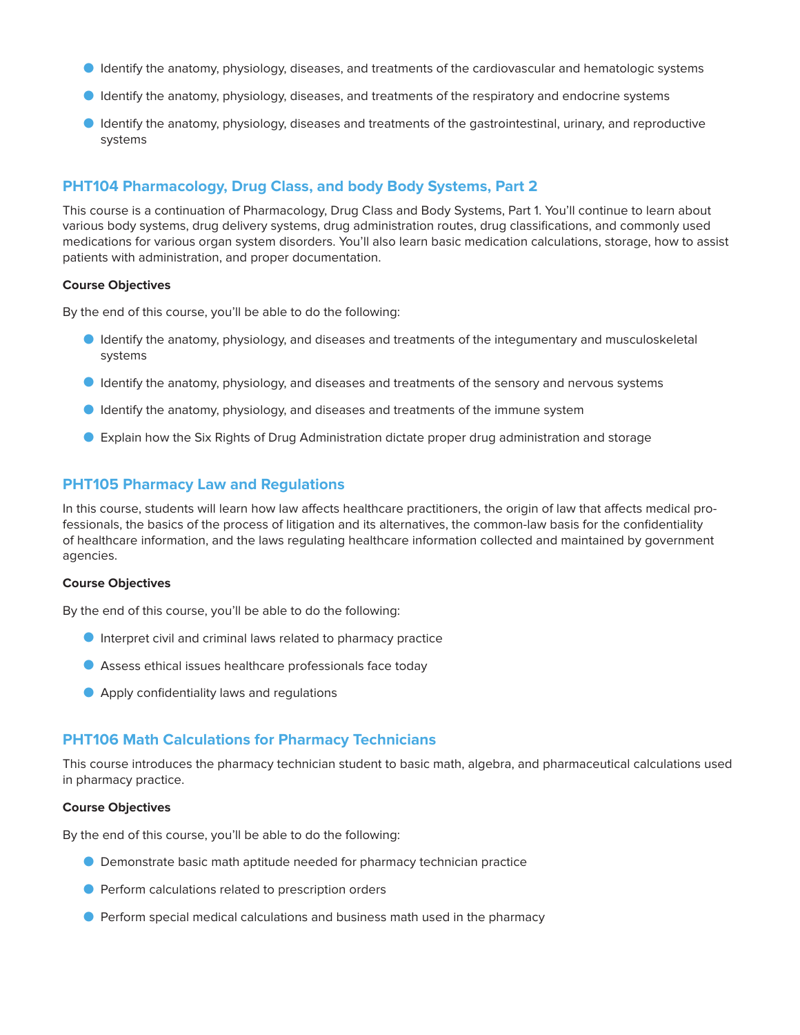- **O** Identify the anatomy, physiology, diseases, and treatments of the cardiovascular and hematologic systems
- O Identify the anatomy, physiology, diseases, and treatments of the respiratory and endocrine systems
- **O** Identify the anatomy, physiology, diseases and treatments of the gastrointestinal, urinary, and reproductive systems

# **PHT104 Pharmacology, Drug Class, and body Body Systems, Part 2**

This course is a continuation of Pharmacology, Drug Class and Body Systems, Part 1. You'll continue to learn about various body systems, drug delivery systems, drug administration routes, drug classifications, and commonly used medications for various organ system disorders. You'll also learn basic medication calculations, storage, how to assist patients with administration, and proper documentation.

#### **Course Objectives**

By the end of this course, you'll be able to do the following:

- O Identify the anatomy, physiology, and diseases and treatments of the integumentary and musculoskeletal systems
- O Identify the anatomy, physiology, and diseases and treatments of the sensory and nervous systems
- **O** Identify the anatomy, physiology, and diseases and treatments of the immune system
- O Explain how the Six Rights of Drug Administration dictate proper drug administration and storage

#### **PHT105 Pharmacy Law and Regulations**

In this course, students will learn how law affects healthcare practitioners, the origin of law that affects medical professionals, the basics of the process of litigation and its alternatives, the common-law basis for the confidentiality of healthcare information, and the laws regulating healthcare information collected and maintained by government agencies.

#### **Course Objectives**

By the end of this course, you'll be able to do the following:

- O Interpret civil and criminal laws related to pharmacy practice
- O Assess ethical issues healthcare professionals face today
- Apply confidentiality laws and regulations

#### **PHT106 Math Calculations for Pharmacy Technicians**

This course introduces the pharmacy technician student to basic math, algebra, and pharmaceutical calculations used in pharmacy practice.

#### **Course Objectives**

By the end of this course, you'll be able to do the following:

- O Demonstrate basic math aptitude needed for pharmacy technician practice
- O Perform calculations related to prescription orders
- O Perform special medical calculations and business math used in the pharmacy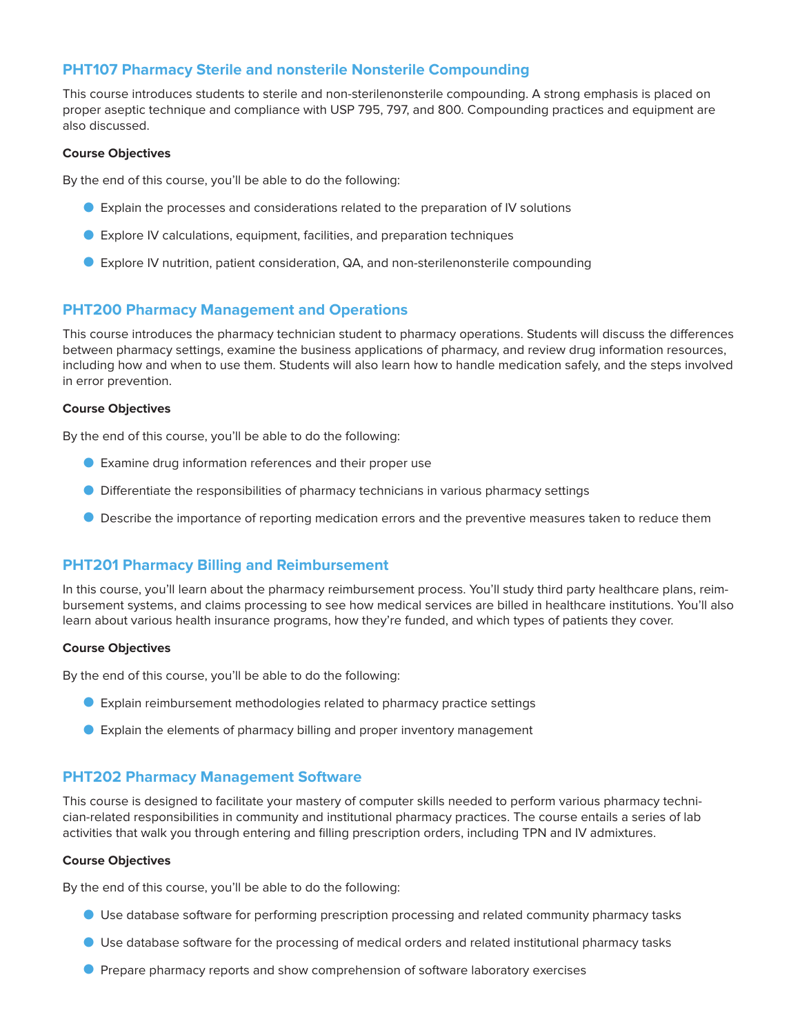# **PHT107 Pharmacy Sterile and nonsterile Nonsterile Compounding**

This course introduces students to sterile and non-sterilenonsterile compounding. A strong emphasis is placed on proper aseptic technique and compliance with USP 795, 797, and 800. Compounding practices and equipment are also discussed.

#### **Course Objectives**

By the end of this course, you'll be able to do the following:

- O Explain the processes and considerations related to the preparation of IV solutions
- O Explore IV calculations, equipment, facilities, and preparation techniques
- O Explore IV nutrition, patient consideration, QA, and non-sterilenonsterile compounding

# **PHT200 Pharmacy Management and Operations**

This course introduces the pharmacy technician student to pharmacy operations. Students will discuss the differences between pharmacy settings, examine the business applications of pharmacy, and review drug information resources, including how and when to use them. Students will also learn how to handle medication safely, and the steps involved in error prevention.

#### **Course Objectives**

By the end of this course, you'll be able to do the following:

- O Examine drug information references and their proper use
- O Differentiate the responsibilities of pharmacy technicians in various pharmacy settings
- **O** Describe the importance of reporting medication errors and the preventive measures taken to reduce them

### **PHT201 Pharmacy Billing and Reimbursement**

In this course, you'll learn about the pharmacy reimbursement process. You'll study third party healthcare plans, reimbursement systems, and claims processing to see how medical services are billed in healthcare institutions. You'll also learn about various health insurance programs, how they're funded, and which types of patients they cover.

#### **Course Objectives**

By the end of this course, you'll be able to do the following:

- O Explain reimbursement methodologies related to pharmacy practice settings
- O Explain the elements of pharmacy billing and proper inventory management

### **PHT202 Pharmacy Management Software**

This course is designed to facilitate your mastery of computer skills needed to perform various pharmacy technician-related responsibilities in community and institutional pharmacy practices. The course entails a series of lab activities that walk you through entering and filling prescription orders, including TPN and IV admixtures.

#### **Course Objectives**

By the end of this course, you'll be able to do the following:

- O Use database software for performing prescription processing and related community pharmacy tasks
- O Use database software for the processing of medical orders and related institutional pharmacy tasks
- O Prepare pharmacy reports and show comprehension of software laboratory exercises